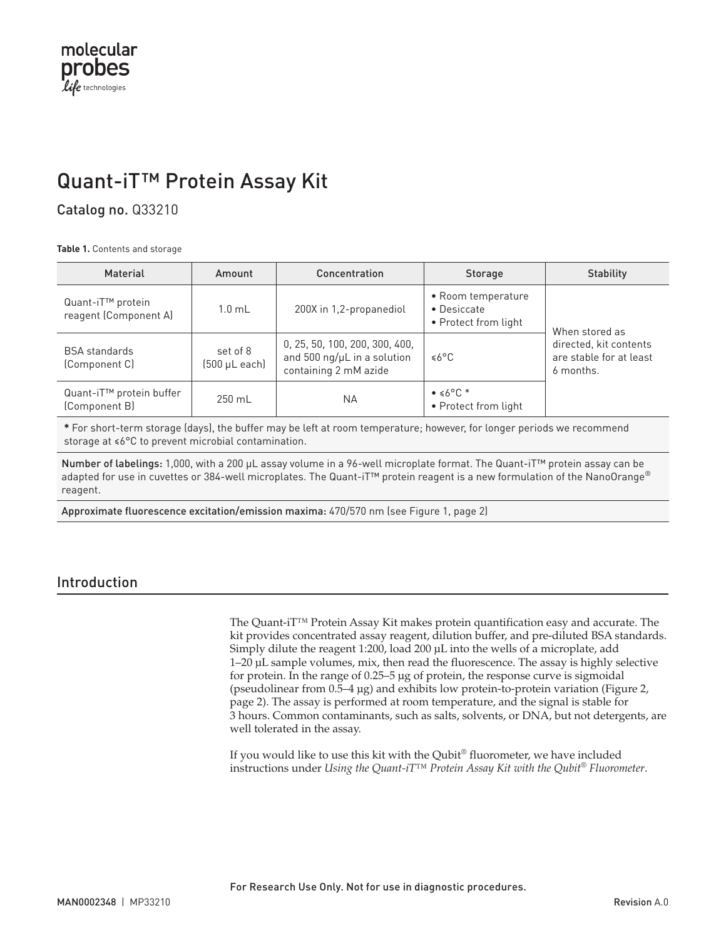# Quant-iT™ Protein Assay Kit

### Catalog no. Q33210

**Table 1.** Contents and storage

| Material                                               | Amount                                 | Concentration                                                                          | <b>Storage</b>                                            | <b>Stability</b>                                                                 |  |
|--------------------------------------------------------|----------------------------------------|----------------------------------------------------------------------------------------|-----------------------------------------------------------|----------------------------------------------------------------------------------|--|
| Quant-iT <sup>™</sup> protein<br>reagent (Component A) | $1.0 \text{ mL}$                       | 200X in 1,2-propanediol                                                                | • Room temperature<br>• Desiccate<br>• Protect from light | When stored as<br>directed, kit contents<br>are stable for at least<br>6 months. |  |
| <b>BSA</b> standards<br>(Component C)                  | set of 8<br>$(500 \mu L \text{ each})$ | 0, 25, 50, 100, 200, 300, 400,<br>and 500 ng/µL in a solution<br>containing 2 mM azide | ≤6°C                                                      |                                                                                  |  |
| Quant-iT <sup>™</sup> protein buffer<br>(Component B)  | 250 mL                                 | NA.                                                                                    | $\bullet$ $\leq 6^{\circ}$ C *<br>• Protect from light    |                                                                                  |  |

**\*** For short-term storage (days), the buffer may be left at room temperature; however, for longer periods we recommend storage at ≤6°C to prevent microbial contamination.

Number of labelings: 1,000, with a 200 µL assay volume in a 96-well microplate format. The Quant-iT<sup>™</sup> protein assay can be adapted for use in cuvettes or 384-well microplates. The Quant-iT<sup>™</sup> protein reagent is a new formulation of the NanoOrange® reagent.

Approximate fluorescence excitation/emission maxima: 470/570 nm (see Figure 1, [page 2\)](#page-1-0)

### Introduction

The Quant-iT™ Protein Assay Kit makes protein quantification easy and accurate. The kit provides concentrated assay reagent, dilution buffer, and pre-diluted BSA standards. Simply dilute the reagent 1:200, load 200 μL into the wells of a microplate, add 1–20 μL sample volumes, mix, then read the fluorescence. The assay is highly selective for protein. In the range of 0.25–5 µg of protein, the response curve is sigmoidal (pseudolinear from 0.5–4 µg) and exhibits low protein-to-protein variation (Figure 2, [page 2](#page-1-1)). The assay is performed at room temperature, and the signal is stable for 3 hours. Common contaminants, such as salts, solvents, or DNA, but not detergents, are well tolerated in the assay.

If you would like to use this kit with the Qubit® fluorometer, we have included instructions under *Using the Quant-iT™ Protein Assay Kit with the Qubit® Fluorometer*.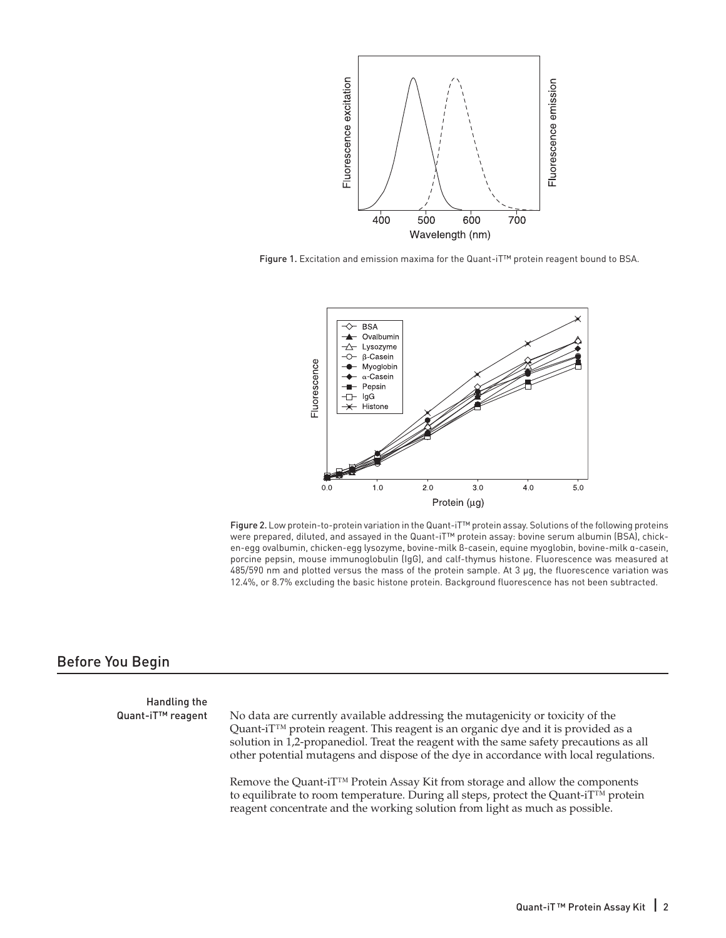

<span id="page-1-0"></span>Figure 1. Excitation and emission maxima for the Quant-iT™ protein reagent bound to BSA.



<span id="page-1-1"></span>Figure 2. Low protein-to-protein variation in the Quant-iT™ protein assay. Solutions of the following proteins were prepared, diluted, and assayed in the Quant-iT™ protein assay: bovine serum albumin (BSA), chicken-egg ovalbumin, chicken-egg lysozyme, bovine-milk β-casein, equine myoglobin, bovine-milk α-casein, porcine pepsin, mouse immunoglobulin (IgG), and calf-thymus histone. Fluorescence was measured at 485/590 nm and plotted versus the mass of the protein sample. At 3 µg, the fluorescence variation was 12.4%, or 8.7% excluding the basic histone protein. Background fluorescence has not been subtracted.

### Before You Begin

Handling the

Quant-iT™ reagent No data are currently available addressing the mutagenicity or toxicity of the Quant-iT<sup>™</sup> protein reagent. This reagent is an organic dye and it is provided as a solution in 1,2-propanediol. Treat the reagent with the same safety precautions as all other potential mutagens and dispose of the dye in accordance with local regulations.

> Remove the Quant-iT™ Protein Assay Kit from storage and allow the components to equilibrate to room temperature. During all steps, protect the Quant-iT™ protein reagent concentrate and the working solution from light as much as possible.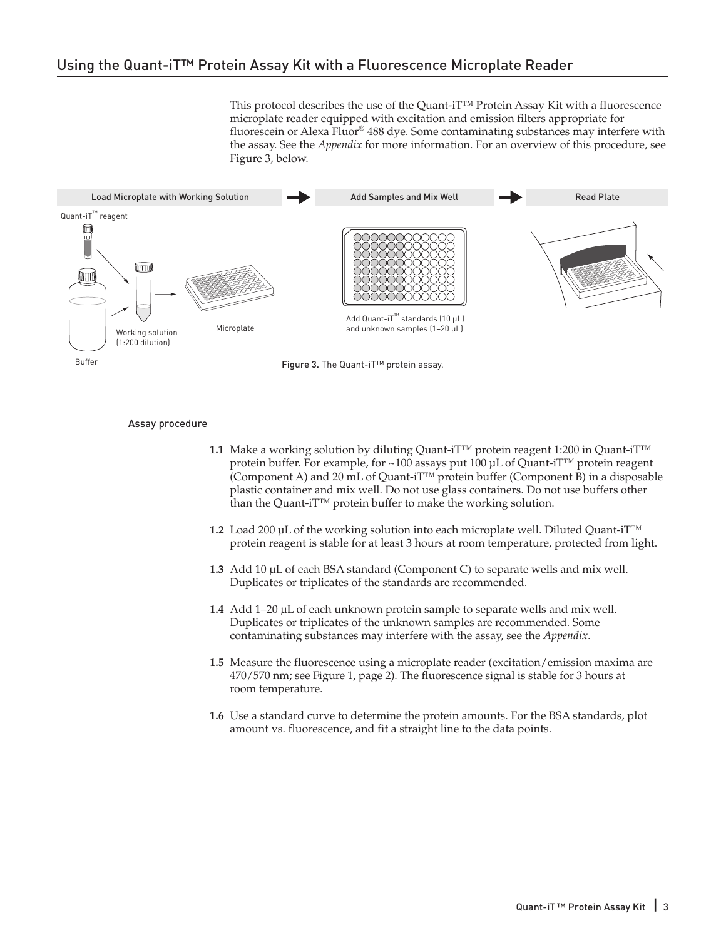This protocol describes the use of the Quant-iT™ Protein Assay Kit with a fluorescence microplate reader equipped with excitation and emission filters appropriate for fluorescein or Alexa Fluor® 488 dye. Some contaminating substances may interfere with the assay. See the *Appendix* for more information. For an overview of this procedure, see Figure 3, below.



Figure 3. The Quant-iT™ protein assay.

### Assay procedure

- **1.1** Make a working solution by diluting Quant-iT™ protein reagent 1:200 in Quant-iT™ protein buffer. For example, for ~100 assays put 100 μL of Quant-iT™ protein reagent (Component A) and 20 mL of Quant-iT™ protein buffer (Component B) in a disposable plastic container and mix well. Do not use glass containers. Do not use buffers other than the Quant-iT™ protein buffer to make the working solution.
- **1.2** Load 200 μL of the working solution into each microplate well. Diluted Quant-iT™ protein reagent is stable for at least 3 hours at room temperature, protected from light.
- **1.3** Add 10 μL of each BSA standard (Component C) to separate wells and mix well. Duplicates or triplicates of the standards are recommended.
- **1.4** Add 1–20 μL of each unknown protein sample to separate wells and mix well. Duplicates or triplicates of the unknown samples are recommended. Some contaminating substances may interfere with the assay, see the *Appendix*.
- **1.5** Measure the fluorescence using a microplate reader (excitation/emission maxima are 470/570 nm; see Figure 1, [page 2\)](#page-1-0). The fluorescence signal is stable for 3 hours at room temperature.
- **1.6** Use a standard curve to determine the protein amounts. For the BSA standards, plot amount vs. fluorescence, and fit a straight line to the data points.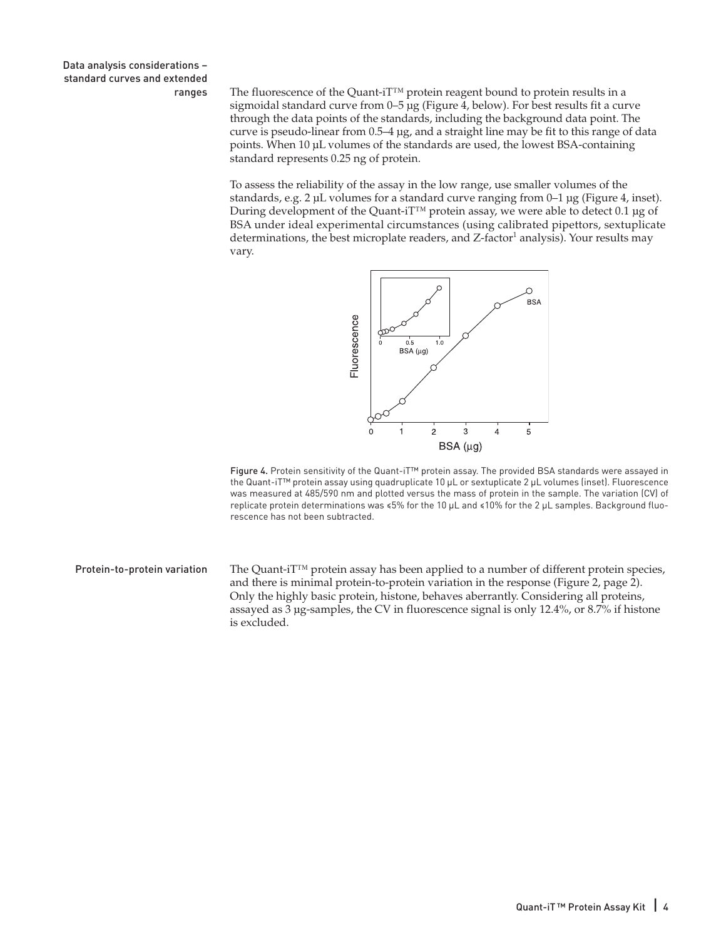Data analysis considerations – standard curves and extended

ranges The fluorescence of the Quant-iT<sup>™</sup> protein reagent bound to protein results in a sigmoidal standard curve from 0–5 µg (Figure 4, below). For best results fit a curve through the data points of the standards, including the background data point. The curve is pseudo-linear from 0.5–4 µg, and a straight line may be fit to this range of data points. When 10 µL volumes of the standards are used, the lowest BSA-containing standard represents 0.25 ng of protein.

> To assess the reliability of the assay in the low range, use smaller volumes of the standards, e.g. 2 µL volumes for a standard curve ranging from 0–1 µg (Figure 4, inset). During development of the Quant-iT™ protein assay, we were able to detect 0.1 µg of BSA under ideal experimental circumstances (using calibrated pipettors, sextuplicate determinations, the best microplate readers, and  $Z$ -factor<sup>1</sup> analysis). Your results may vary.



Figure 4. Protein sensitivity of the Quant-iT™ protein assay. The provided BSA standards were assayed in the Quant-iT™ protein assay using quadruplicate 10 µL or sextuplicate 2 µL volumes (inset). Fluorescence was measured at 485/590 nm and plotted versus the mass of protein in the sample. The variation (CV) of replicate protein determinations was ≤5% for the 10 µL and ≤10% for the 2 µL samples. Background fluorescence has not been subtracted.

Protein-to-protein variation The Quant-iT™ protein assay has been applied to a number of different protein species, and there is minimal protein-to-protein variation in the response (Figure 2, [page 2\)](#page-1-1). Only the highly basic protein, histone, behaves aberrantly. Considering all proteins, assayed as 3 µg-samples, the CV in fluorescence signal is only 12.4%, or 8.7% if histone is excluded.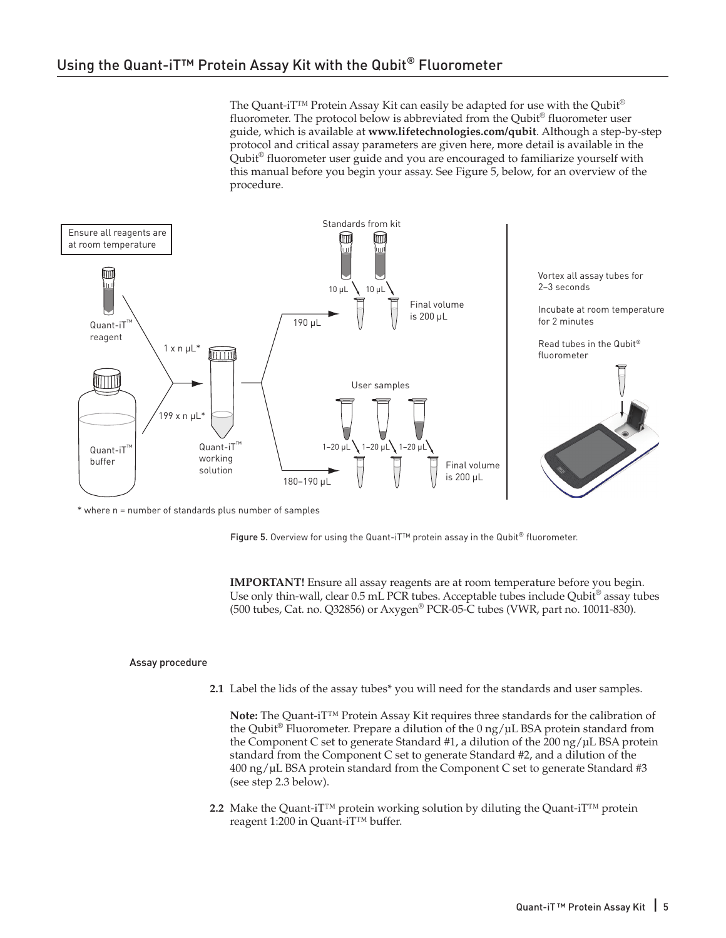The Quant-iT<sup>™</sup> Protein Assay Kit can easily be adapted for use with the Qubit<sup>®</sup> fluorometer. The protocol below is abbreviated from the Qubit® fluorometer user guide, which is available at **<www.lifetechnologies.com/qubit>**. Although a step-by-step protocol and critical assay parameters are given here, more detail is available in the Qubit® fluorometer user guide and you are encouraged to familiarize yourself with this manual before you begin your assay. See Figure 5, below, for an overview of the procedure.

<span id="page-4-0"></span>

\* where n = number of standards plus number of samples

Figure 5. Overview for using the Quant-iT™ protein assay in the Qubit<sup>®</sup> fluorometer.

**IMPORTANT!** Ensure all assay reagents are at room temperature before you begin. Use only thin-wall, clear 0.5 mL PCR tubes. Acceptable tubes include Qubit<sup>®</sup> assay tubes (500 tubes, Cat. no. Q32856) or Axygen® PCR-05-C tubes (VWR, part no. 10011-830).

### Assay procedure

**2.1** Label the lids of the assay tubes\* you will need for the standards and user samples.

**Note:** The Quant-iT™ Protein Assay Kit requires three standards for the calibration of the Qubit<sup>®</sup> Fluorometer. Prepare a dilution of the  $0 \frac{ng}{\mu}$  BSA protein standard from the Component C set to generate Standard #1, a dilution of the 200 ng/µL BSA protein standard from the Component C set to generate Standard #2, and a dilution of the 400 ng/µL BSA protein standard from the Component C set to generate Standard #3 (see step 2.3 below).

**2.2** Make the Quant-iT™ protein working solution by diluting the Quant-iT™ protein reagent 1:200 in Quant-iT™ buffer.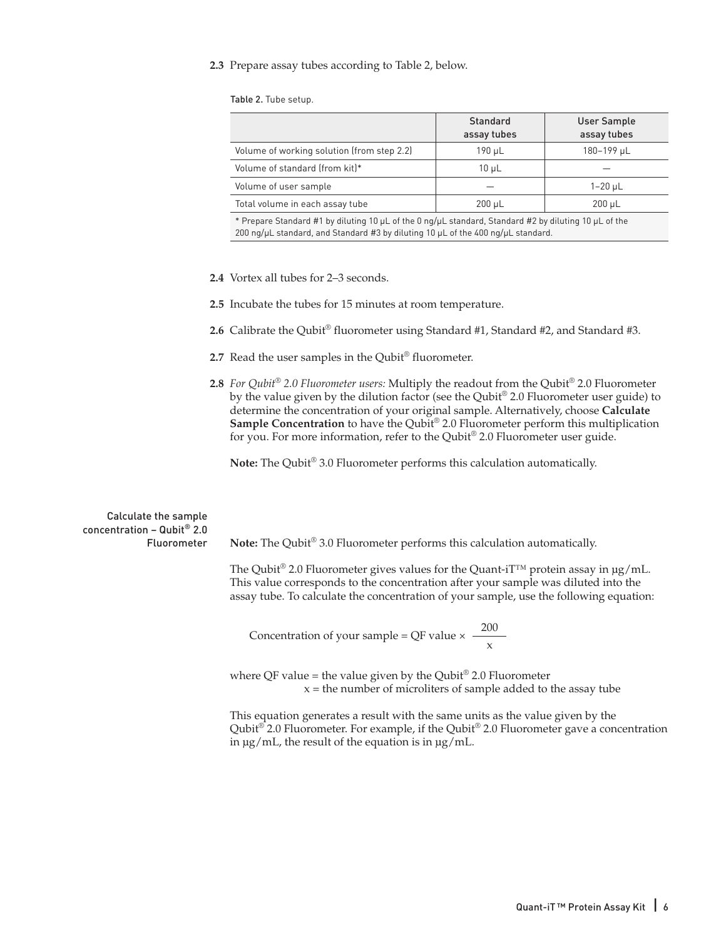### **2.3** Prepare assay tubes according to Table 2, below.

Table 2. Tube setup.

| assay tubes | User Sample<br>assay tubes |
|-------------|----------------------------|
| 190 µL      | 180-199 µL                 |
| $10 \mu L$  |                            |
|             | $1 - 20 \mu L$             |
| $200 \mu L$ | $200 \mu L$                |
|             |                            |

\* Prepare Standard #1 by diluting 10 µL of the 0 ng/µL standard, Standard #2 by diluting 10 µL of the 200 ng/ $\mu$ L standard, and Standard #3 by diluting 10  $\mu$ L of the 400 ng/ $\mu$ L standard.

- **2.4** Vortex all tubes for 2–3 seconds.
- **2.5** Incubate the tubes for 15 minutes at room temperature.
- **2.6** Calibrate the Qubit® fluorometer using Standard #1, Standard #2, and Standard #3.
- 2.7 Read the user samples in the Qubit® fluorometer.
- **2.8** *For Qubit® 2.0 Fluorometer users:* Multiply the readout from the Qubit® 2.0 Fluorometer by the value given by the dilution factor (see the Qubit® 2.0 Fluorometer user guide) to determine the concentration of your original sample. Alternatively, choose **Calculate Sample Concentration** to have the Qubit® 2.0 Fluorometer perform this multiplication for you. For more information, refer to the Qubit® 2.0 Fluorometer user guide.

**Note:** The Qubit® 3.0 Fluorometer performs this calculation automatically.

Calculate the sample concentration – Qubit® 2.0 Fluorometer **Note:** The Qubit® 3.0 Fluorometer performs this calculation automatically.

The Qubit<sup>®</sup> 2.0 Fluorometer gives values for the Quant-iT<sup>™</sup> protein assay in  $\mu$ g/mL. This value corresponds to the concentration after your sample was diluted into the assay tube. To calculate the concentration of your sample, use the following equation:

Concentration of your sample = QF value  $\times \frac{200}{x}$ 

where QF value = the value given by the Qubit<sup>®</sup> 2.0 Fluorometer  $x =$  the number of microliters of sample added to the assay tube

This equation generates a result with the same units as the value given by the Qubit<sup>®</sup> 2.0 Fluorometer. For example, if the Qubit<sup>®</sup> 2.0 Fluorometer gave a concentration in μg/mL, the result of the equation is in μg/mL.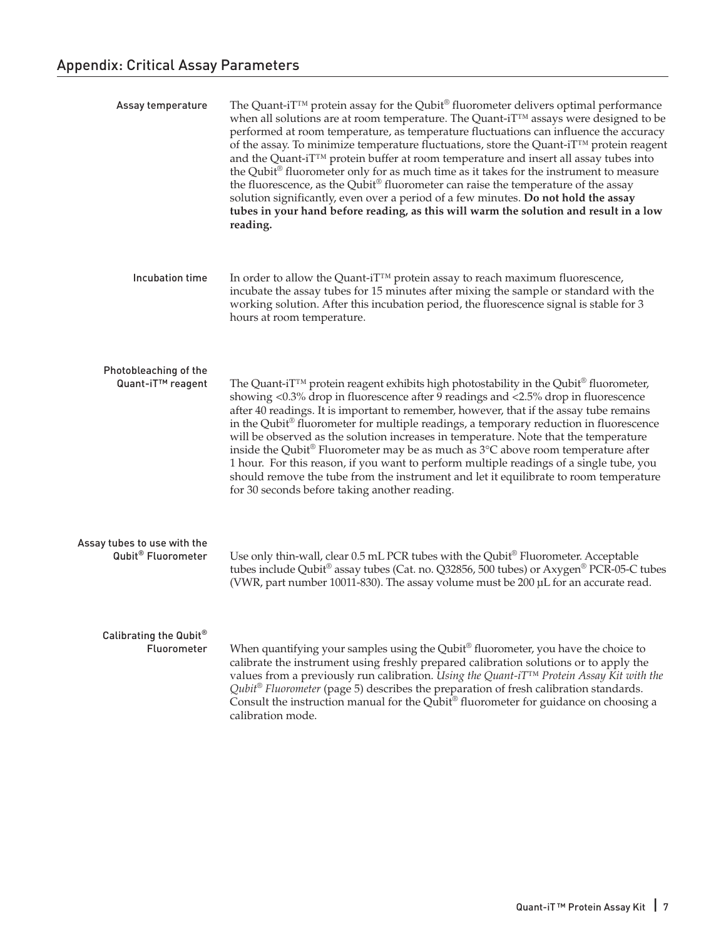| Assay temperature                                      | The Quant-iT <sup>™</sup> protein assay for the Qubit® fluorometer delivers optimal performance<br>when all solutions are at room temperature. The Quant-iT™ assays were designed to be<br>performed at room temperature, as temperature fluctuations can influence the accuracy<br>of the assay. To minimize temperature fluctuations, store the Quant-iT <sup>TM</sup> protein reagent<br>and the Quant-iT <sup>TM</sup> protein buffer at room temperature and insert all assay tubes into<br>the Qubit® fluorometer only for as much time as it takes for the instrument to measure<br>the fluorescence, as the Qubit® fluorometer can raise the temperature of the assay<br>solution significantly, even over a period of a few minutes. Do not hold the assay<br>tubes in your hand before reading, as this will warm the solution and result in a low<br>reading. |
|--------------------------------------------------------|--------------------------------------------------------------------------------------------------------------------------------------------------------------------------------------------------------------------------------------------------------------------------------------------------------------------------------------------------------------------------------------------------------------------------------------------------------------------------------------------------------------------------------------------------------------------------------------------------------------------------------------------------------------------------------------------------------------------------------------------------------------------------------------------------------------------------------------------------------------------------|
| Incubation time                                        | In order to allow the Quant-iT <sup>™</sup> protein assay to reach maximum fluorescence,<br>incubate the assay tubes for 15 minutes after mixing the sample or standard with the<br>working solution. After this incubation period, the fluorescence signal is stable for 3<br>hours at room temperature.                                                                                                                                                                                                                                                                                                                                                                                                                                                                                                                                                                |
| Photobleaching of the<br>Quant-iT <sup>™</sup> reagent | The Quant-iT <sup>™</sup> protein reagent exhibits high photostability in the Qubit® fluorometer,<br>showing <0.3% drop in fluorescence after 9 readings and <2.5% drop in fluorescence<br>after 40 readings. It is important to remember, however, that if the assay tube remains<br>in the Qubit® fluorometer for multiple readings, a temporary reduction in fluorescence<br>will be observed as the solution increases in temperature. Note that the temperature<br>inside the Qubit® Fluorometer may be as much as 3°C above room temperature after<br>1 hour. For this reason, if you want to perform multiple readings of a single tube, you<br>should remove the tube from the instrument and let it equilibrate to room temperature<br>for 30 seconds before taking another reading.                                                                            |
| Assay tubes to use with the<br>Qubit® Fluorometer      | Use only thin-wall, clear 0.5 mL PCR tubes with the Qubit® Fluorometer. Acceptable<br>tubes include Qubit® assay tubes (Cat. no. Q32856, 500 tubes) or Axygen® PCR-05-C tubes<br>(VWR, part number 10011-830). The assay volume must be 200 µL for an accurate read.                                                                                                                                                                                                                                                                                                                                                                                                                                                                                                                                                                                                     |
| Calibrating the Qubit®<br>Fluorometer                  | When quantifying your samples using the Qubit® fluorometer, you have the choice to<br>calibrate the instrument using freshly prepared calibration solutions or to apply the<br>values from a previously run calibration. Using the Quant-iT <sup>™</sup> Protein Assay Kit with the<br>Qubit <sup>®</sup> Fluorometer (page 5) describes the preparation of fresh calibration standards.<br>Consult the instruction manual for the Qubit® fluorometer for guidance on choosing a<br>calibration mode.                                                                                                                                                                                                                                                                                                                                                                    |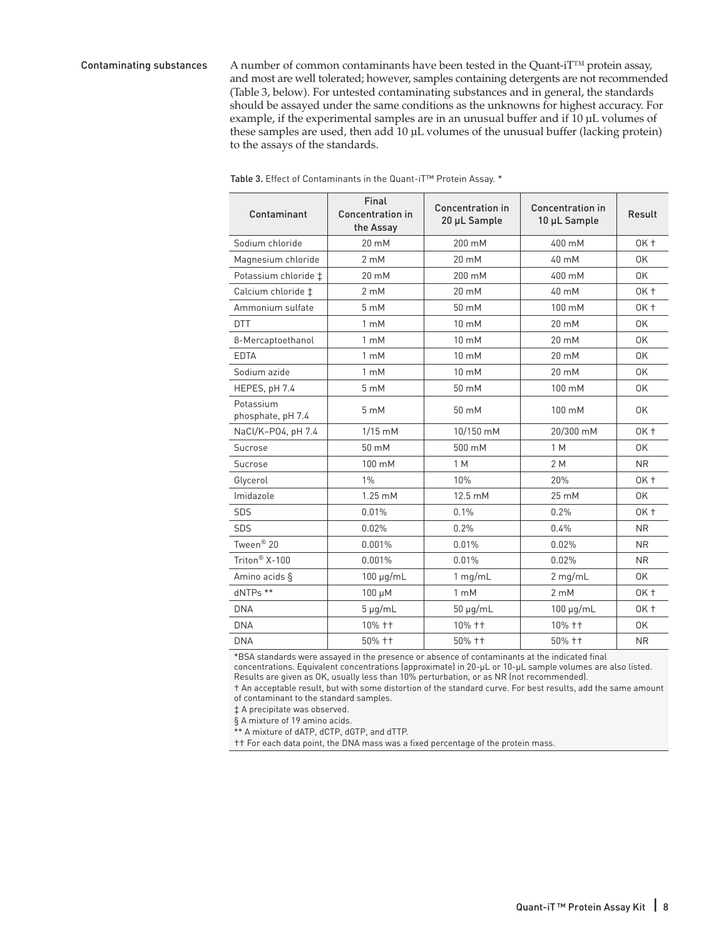Contaminating substances A number of common contaminants have been tested in the Quant-i $T^{\text{TM}}$  protein assay, and most are well tolerated; however, samples containing detergents are not recommended (Table 3, below). For untested contaminating substances and in general, the standards should be assayed under the same conditions as the unknowns for highest accuracy. For example, if the experimental samples are in an unusual buffer and if 10 µL volumes of these samples are used, then add 10 µL volumes of the unusual buffer (lacking protein) to the assays of the standards.

| Contaminant                    | Final<br>Concentration in<br>the Assay | <b>Concentration in</b><br>20 µL Sample | <b>Concentration in</b><br>10 µL Sample | Result          |
|--------------------------------|----------------------------------------|-----------------------------------------|-----------------------------------------|-----------------|
| Sodium chloride                | $20 \text{ mM}$                        | 200 mM                                  | 400 mM                                  | $OK +$          |
| Magnesium chloride             | $2 \text{ mM}$                         | 20 mM                                   | 40 mM                                   | 0K              |
| Potassium chloride ‡           | $20 \text{ mM}$                        | 200 mM                                  | 400 mM                                  | 0K              |
| Calcium chloride ‡             | $2 \text{ mM}$                         | 20 mM                                   | 40 mM                                   | OK <sub>t</sub> |
| Ammonium sulfate               | $5 \text{ mM}$                         | 50 mM                                   | 100 mM                                  | $OK +$          |
| <b>DTT</b>                     | $1 \text{ mM}$                         | 10 mM                                   | 20 mM                                   | 0K              |
| B-Mercaptoethanol              | $1 \text{ mM}$                         | 10 mM                                   | 20 mM                                   | 0K              |
| <b>EDTA</b>                    | $1 \text{ mM}$                         | 10 mM                                   | 20 mM                                   | 0K              |
| Sodium azide                   | $1 \text{ mM}$                         | 10 mM                                   | 20 mM                                   | 0K              |
| HEPES, pH 7.4                  | 5 mM                                   | 50 mM                                   | 100 mM                                  | 0K              |
| Potassium<br>phosphate, pH 7.4 | 5 mM                                   | 50 mM                                   | 100 mM                                  | 0K              |
| NaCl/K-P04, pH 7.4             | $1/15$ mM                              | 10/150 mM                               | 20/300 mM                               | $OK +$          |
| Sucrose                        | 50 mM                                  | 500 mM                                  | 1 M                                     | 0K              |
| Sucrose                        | 100 mM                                 | 1 M                                     | 2 M                                     | <b>NR</b>       |
| Glycerol                       | $1\%$                                  | 10%                                     | 20%                                     | $OK +$          |
| Imidazole                      | $1.25 \text{ mM}$                      | 12.5 mM                                 | 25 mM                                   | 0K              |
| SDS                            | 0.01%                                  | 0.1%                                    | 0.2%                                    | OK <sub>t</sub> |
| SDS                            | 0.02%                                  | 0.2%                                    | 0.4%                                    | <b>NR</b>       |
| Tween <sup>®</sup> 20          | 0.001%                                 | 0.01%                                   | 0.02%                                   | <b>NR</b>       |
| Triton <sup>®</sup> X-100      | 0.001%                                 | 0.01%                                   | 0.02%                                   | <b>NR</b>       |
| Amino acids §                  | $100 \mu g/mL$                         | $1$ mg/mL                               | $2$ mg/mL                               | 0K              |
| dNTPs **                       | $100 \mu M$                            | $1 \text{ mM}$                          | $2 \text{ mM}$                          | $OK +$          |
| <b>DNA</b>                     | $5 \mu g/mL$                           | $50 \mu g/mL$                           | $100 \mu q/mL$                          | OK <sub>t</sub> |
| <b>DNA</b>                     | 10% ++                                 | 10% ++                                  | 10% ++                                  | 0K              |
| <b>DNA</b>                     | 50% ++                                 | 50% ++                                  | 50% ++                                  | <b>NR</b>       |

Table 3. Effect of Contaminants in the Quant-iT™ Protein Assay. \*

\*BSA standards were assayed in the presence or absence of contaminants at the indicated final concentrations. Equivalent concentrations (approximate) in 20-μL or 10-μL sample volumes are also listed.

Results are given as OK, usually less than 10% perturbation, or as NR (not recommended).

† An acceptable result, but with some distortion of the standard curve. For best results, add the same amount of contaminant to the standard samples.

‡ A precipitate was observed.

§ A mixture of 19 amino acids.

\*\* A mixture of dATP, dCTP, dGTP, and dTTP.

†† For each data point, the DNA mass was a fixed percentage of the protein mass.